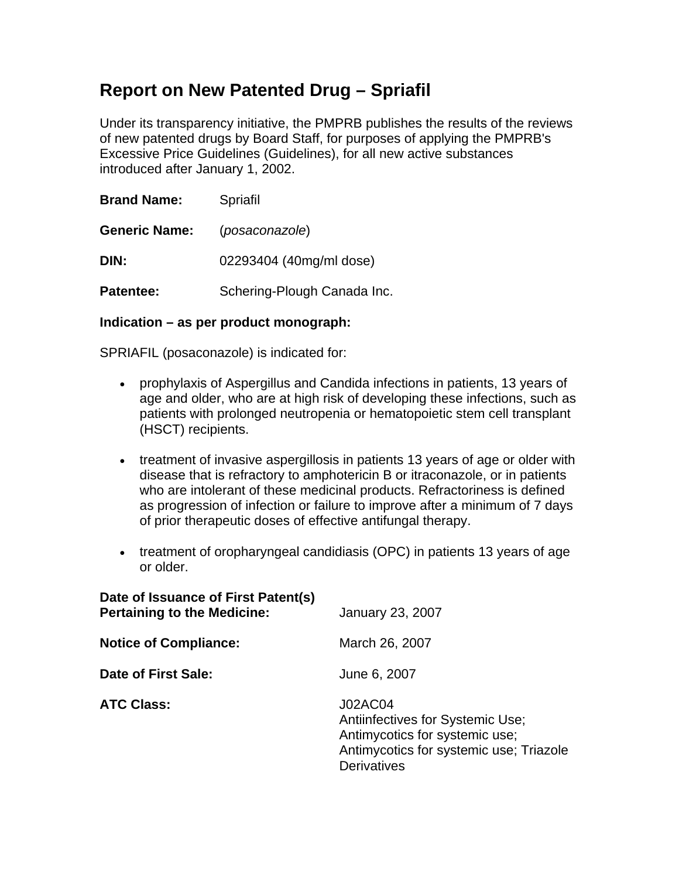## **Report on New Patented Drug – Spriafil**

Under its transparency initiative, the PMPRB publishes the results of the reviews of new patented drugs by Board Staff, for purposes of applying the PMPRB's Excessive Price Guidelines (Guidelines), for all new active substances introduced after January 1, 2002.

| <b>Brand Name:</b>   | Spriafil                    |
|----------------------|-----------------------------|
| <b>Generic Name:</b> | (posaconazole)              |
| DIN:                 | 02293404 (40mg/ml dose)     |
| <b>Patentee:</b>     | Schering-Plough Canada Inc. |

#### **Indication – as per product monograph:**

SPRIAFIL (posaconazole) is indicated for:

- prophylaxis of Aspergillus and Candida infections in patients, 13 years of age and older, who are at high risk of developing these infections, such as patients with prolonged neutropenia or hematopoietic stem cell transplant (HSCT) recipients.
- treatment of invasive aspergillosis in patients 13 years of age or older with disease that is refractory to amphotericin B or itraconazole, or in patients who are intolerant of these medicinal products. Refractoriness is defined as progression of infection or failure to improve after a minimum of 7 days of prior therapeutic doses of effective antifungal therapy.
- treatment of oropharyngeal candidiasis (OPC) in patients 13 years of age or older.

| Date of Issuance of First Patent(s)<br><b>Pertaining to the Medicine:</b> | <b>January 23, 2007</b>                                                                                                                               |
|---------------------------------------------------------------------------|-------------------------------------------------------------------------------------------------------------------------------------------------------|
| <b>Notice of Compliance:</b>                                              | March 26, 2007                                                                                                                                        |
| Date of First Sale:                                                       | June 6, 2007                                                                                                                                          |
| <b>ATC Class:</b>                                                         | <b>J02AC04</b><br>Antiinfectives for Systemic Use;<br>Antimycotics for systemic use;<br>Antimycotics for systemic use; Triazole<br><b>Derivatives</b> |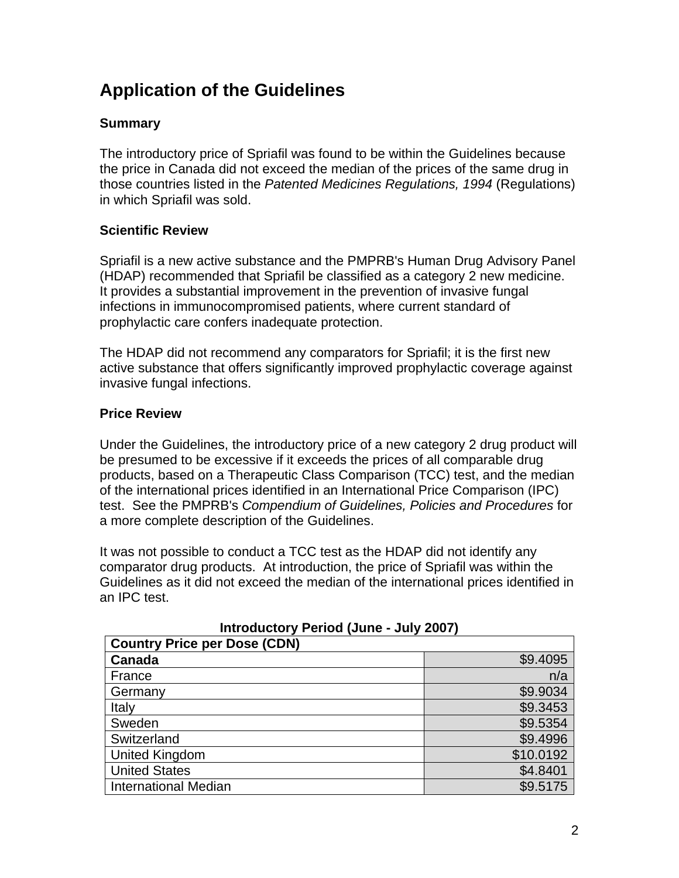# **Application of the Guidelines**

#### **Summary**

The introductory price of Spriafil was found to be within the Guidelines because the price in Canada did not exceed the median of the prices of the same drug in those countries listed in the *Patented Medicines Regulations, 1994* (Regulations) in which Spriafil was sold.

#### **Scientific Review**

Spriafil is a new active substance and the PMPRB's Human Drug Advisory Panel (HDAP) recommended that Spriafil be classified as a category 2 new medicine. It provides a substantial improvement in the prevention of invasive fungal infections in immunocompromised patients, where current standard of prophylactic care confers inadequate protection.

The HDAP did not recommend any comparators for Spriafil; it is the first new active substance that offers significantly improved prophylactic coverage against invasive fungal infections.

#### **Price Review**

Under the Guidelines, the introductory price of a new category 2 drug product will be presumed to be excessive if it exceeds the prices of all comparable drug products, based on a Therapeutic Class Comparison (TCC) test, and the median of the international prices identified in an International Price Comparison (IPC) test. See the PMPRB's *Compendium of Guidelines, Policies and Procedures* for a more complete description of the Guidelines.

It was not possible to conduct a TCC test as the HDAP did not identify any comparator drug products. At introduction, the price of Spriafil was within the Guidelines as it did not exceed the median of the international prices identified in an IPC test.

| <b>Country Price per Dose (CDN)</b> |           |  |
|-------------------------------------|-----------|--|
| <b>Canada</b>                       | \$9.4095  |  |
| France                              | n/a       |  |
| Germany                             | \$9.9034  |  |
| Italy                               | \$9.3453  |  |
| Sweden                              | \$9.5354  |  |
| Switzerland                         | \$9.4996  |  |
| <b>United Kingdom</b>               | \$10.0192 |  |
| <b>United States</b>                | \$4.8401  |  |
| <b>International Median</b>         | \$9.5175  |  |

**Introductory Period (June - July 2007)**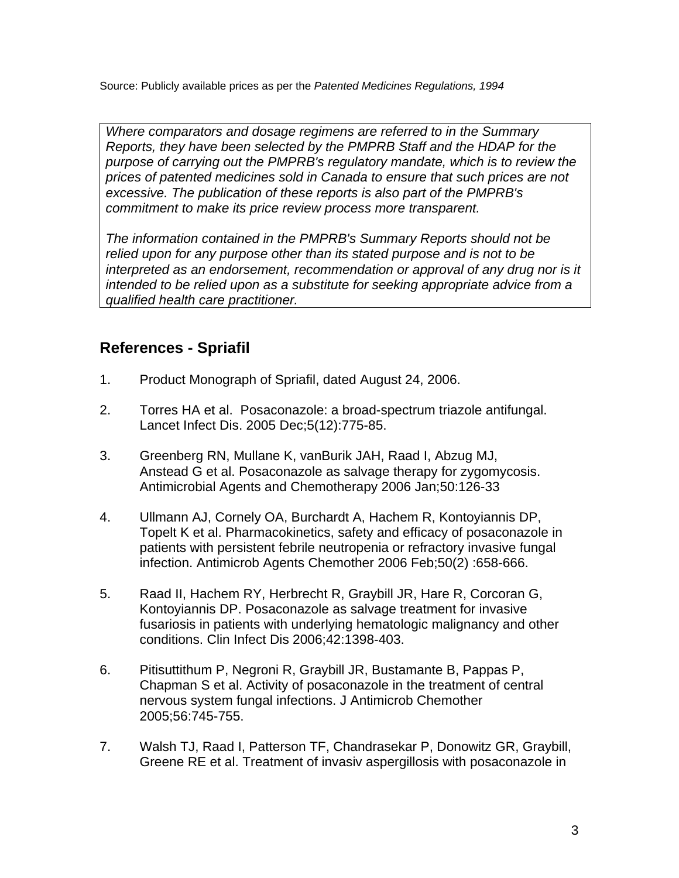Source: Publicly available prices as per the *Patented Medicines Regulations, 1994* 

*Where comparators and dosage regimens are referred to in the Summary Reports, they have been selected by the PMPRB Staff and the HDAP for the purpose of carrying out the PMPRB's regulatory mandate, which is to review the prices of patented medicines sold in Canada to ensure that such prices are not excessive. The publication of these reports is also part of the PMPRB's commitment to make its price review process more transparent.* 

*The information contained in the PMPRB's Summary Reports should not be relied upon for any purpose other than its stated purpose and is not to be*  interpreted as an endorsement, recommendation or approval of any drug nor is it *intended to be relied upon as a substitute for seeking appropriate advice from a qualified health care practitioner.*

### **References - Spriafil**

- 1. Product Monograph of Spriafil, dated August 24, 2006.
- 2. Torres HA et al. Posaconazole: a broad-spectrum triazole antifungal. Lancet Infect Dis. 2005 Dec;5(12):775-85.
- 3. Greenberg RN, Mullane K, vanBurik JAH, Raad I, Abzug MJ, Anstead G et al. Posaconazole as salvage therapy for zygomycosis. Antimicrobial Agents and Chemotherapy 2006 Jan;50:126-33
- 4. Ullmann AJ, Cornely OA, Burchardt A, Hachem R, Kontoyiannis DP, Topelt K et al. Pharmacokinetics, safety and efficacy of posaconazole in patients with persistent febrile neutropenia or refractory invasive fungal infection. Antimicrob Agents Chemother 2006 Feb;50(2) :658-666.
- 5. Raad II, Hachem RY, Herbrecht R, Graybill JR, Hare R, Corcoran G, Kontoyiannis DP. Posaconazole as salvage treatment for invasive fusariosis in patients with underlying hematologic malignancy and other conditions. Clin Infect Dis 2006;42:1398-403.
- 6. Pitisuttithum P, Negroni R, Graybill JR, Bustamante B, Pappas P, Chapman S et al. Activity of posaconazole in the treatment of central nervous system fungal infections. J Antimicrob Chemother 2005;56:745-755.
- 7. Walsh TJ, Raad I, Patterson TF, Chandrasekar P, Donowitz GR, Graybill, Greene RE et al. Treatment of invasiv aspergillosis with posaconazole in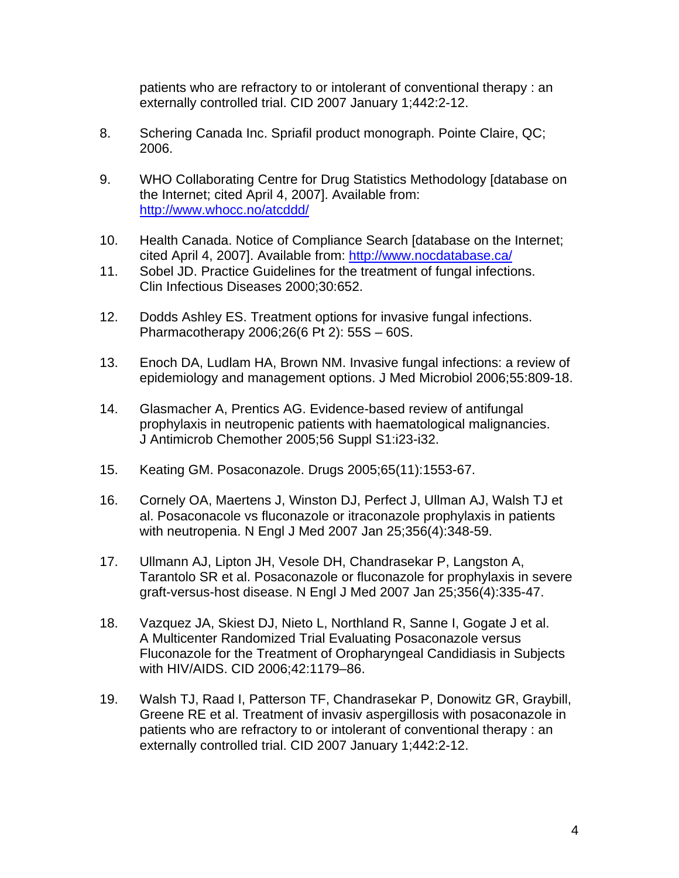patients who are refractory to or intolerant of conventional therapy : an externally controlled trial. CID 2007 January 1;442:2-12.

- 8. Schering Canada Inc. Spriafil product monograph. Pointe Claire, QC; 2006.
- 9. WHO Collaborating Centre for Drug Statistics Methodology [database on the Internet; cited April 4, 2007]. Available from: http://www.whocc.no/atcddd/
- 10. Health Canada. Notice of Compliance Search [database on the Internet; cited April 4, 2007]. Available from: http://www.nocdatabase.ca/
- 11. Sobel JD. Practice Guidelines for the treatment of fungal infections. Clin Infectious Diseases 2000;30:652.
- 12. Dodds Ashley ES. Treatment options for invasive fungal infections. Pharmacotherapy 2006;26(6 Pt 2): 55S – 60S.
- 13. Enoch DA, Ludlam HA, Brown NM. Invasive fungal infections: a review of epidemiology and management options. J Med Microbiol 2006;55:809-18.
- 14. Glasmacher A, Prentics AG. Evidence-based review of antifungal prophylaxis in neutropenic patients with haematological malignancies. J Antimicrob Chemother 2005;56 Suppl S1:i23-i32.
- 15. Keating GM. Posaconazole. Drugs 2005;65(11):1553-67.
- 16. Cornely OA, Maertens J, Winston DJ, Perfect J, Ullman AJ, Walsh TJ et al. Posaconacole vs fluconazole or itraconazole prophylaxis in patients with neutropenia. N Engl J Med 2007 Jan 25;356(4):348-59.
- 17. Ullmann AJ, Lipton JH, Vesole DH, Chandrasekar P, Langston A, Tarantolo SR et al. Posaconazole or fluconazole for prophylaxis in severe graft-versus-host disease. N Engl J Med 2007 Jan 25;356(4):335-47.
- 18. Vazquez JA, Skiest DJ, Nieto L, Northland R, Sanne I, Gogate J et al. A Multicenter Randomized Trial Evaluating Posaconazole versus Fluconazole for the Treatment of Oropharyngeal Candidiasis in Subjects with HIV/AIDS. CID 2006;42:1179–86.
- 19. Walsh TJ, Raad I, Patterson TF, Chandrasekar P, Donowitz GR, Graybill, Greene RE et al. Treatment of invasiv aspergillosis with posaconazole in patients who are refractory to or intolerant of conventional therapy : an externally controlled trial. CID 2007 January 1;442:2-12.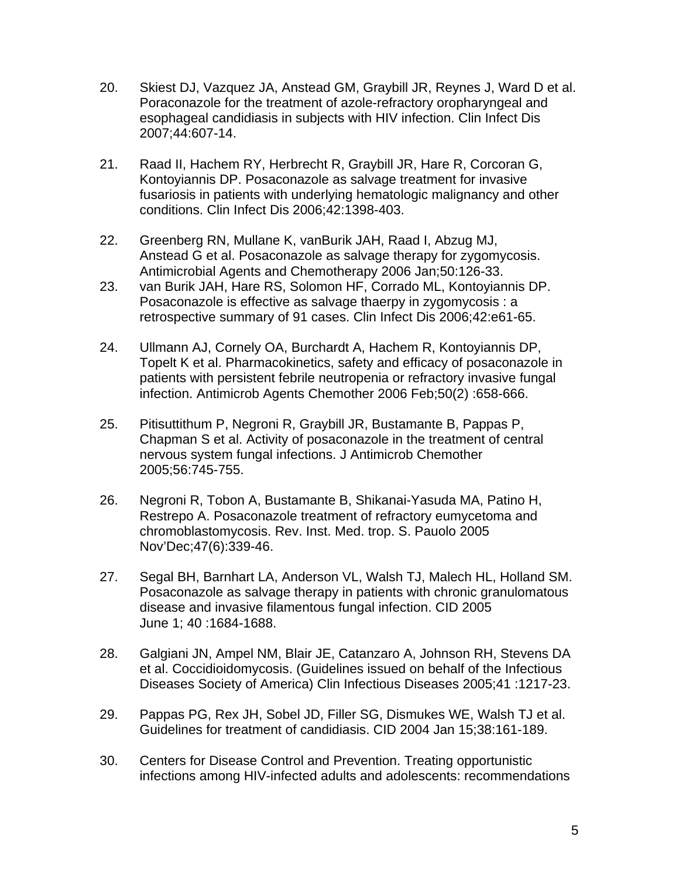- 20. Skiest DJ, Vazquez JA, Anstead GM, Graybill JR, Reynes J, Ward D et al. Poraconazole for the treatment of azole-refractory oropharyngeal and esophageal candidiasis in subjects with HIV infection. Clin Infect Dis 2007;44:607-14.
- 21. Raad II, Hachem RY, Herbrecht R, Graybill JR, Hare R, Corcoran G, Kontoyiannis DP. Posaconazole as salvage treatment for invasive fusariosis in patients with underlying hematologic malignancy and other conditions. Clin Infect Dis 2006;42:1398-403.
- 22. Greenberg RN, Mullane K, vanBurik JAH, Raad I, Abzug MJ, Anstead G et al. Posaconazole as salvage therapy for zygomycosis. Antimicrobial Agents and Chemotherapy 2006 Jan;50:126-33.
- 23. van Burik JAH, Hare RS, Solomon HF, Corrado ML, Kontoyiannis DP. Posaconazole is effective as salvage thaerpy in zygomycosis : a retrospective summary of 91 cases. Clin Infect Dis 2006;42:e61-65.
- 24. Ullmann AJ, Cornely OA, Burchardt A, Hachem R, Kontoyiannis DP, Topelt K et al. Pharmacokinetics, safety and efficacy of posaconazole in patients with persistent febrile neutropenia or refractory invasive fungal infection. Antimicrob Agents Chemother 2006 Feb;50(2) :658-666.
- 25. Pitisuttithum P, Negroni R, Graybill JR, Bustamante B, Pappas P, Chapman S et al. Activity of posaconazole in the treatment of central nervous system fungal infections. J Antimicrob Chemother 2005;56:745-755.
- 26. Negroni R, Tobon A, Bustamante B, Shikanai-Yasuda MA, Patino H, Restrepo A. Posaconazole treatment of refractory eumycetoma and chromoblastomycosis. Rev. Inst. Med. trop. S. Pauolo 2005 Nov'Dec;47(6):339-46.
- 27. Segal BH, Barnhart LA, Anderson VL, Walsh TJ, Malech HL, Holland SM. Posaconazole as salvage therapy in patients with chronic granulomatous disease and invasive filamentous fungal infection. CID 2005 June 1; 40 :1684-1688.
- 28. Galgiani JN, Ampel NM, Blair JE, Catanzaro A, Johnson RH, Stevens DA et al. Coccidioidomycosis. (Guidelines issued on behalf of the Infectious Diseases Society of America) Clin Infectious Diseases 2005;41 :1217-23.
- 29. Pappas PG, Rex JH, Sobel JD, Filler SG, Dismukes WE, Walsh TJ et al. Guidelines for treatment of candidiasis. CID 2004 Jan 15;38:161-189.
- 30. Centers for Disease Control and Prevention. Treating opportunistic infections among HIV-infected adults and adolescents: recommendations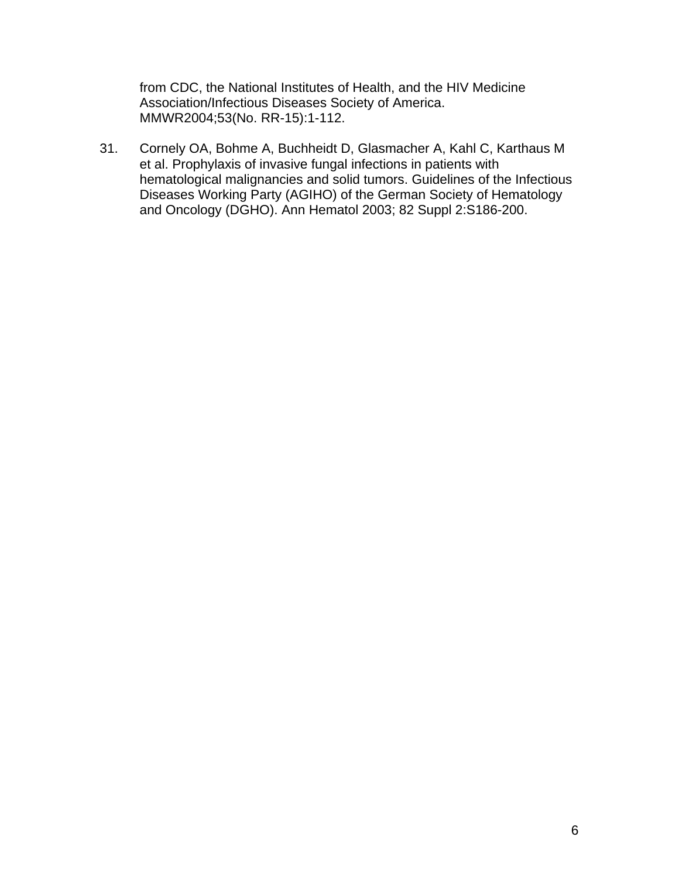from CDC, the National Institutes of Health, and the HIV Medicine Association/Infectious Diseases Society of America. MMWR2004;53(No. RR-15):1-112.

31. Cornely OA, Bohme A, Buchheidt D, Glasmacher A, Kahl C, Karthaus M et al. Prophylaxis of invasive fungal infections in patients with hematological malignancies and solid tumors. Guidelines of the Infectious Diseases Working Party (AGIHO) of the German Society of Hematology and Oncology (DGHO). Ann Hematol 2003; 82 Suppl 2:S186-200.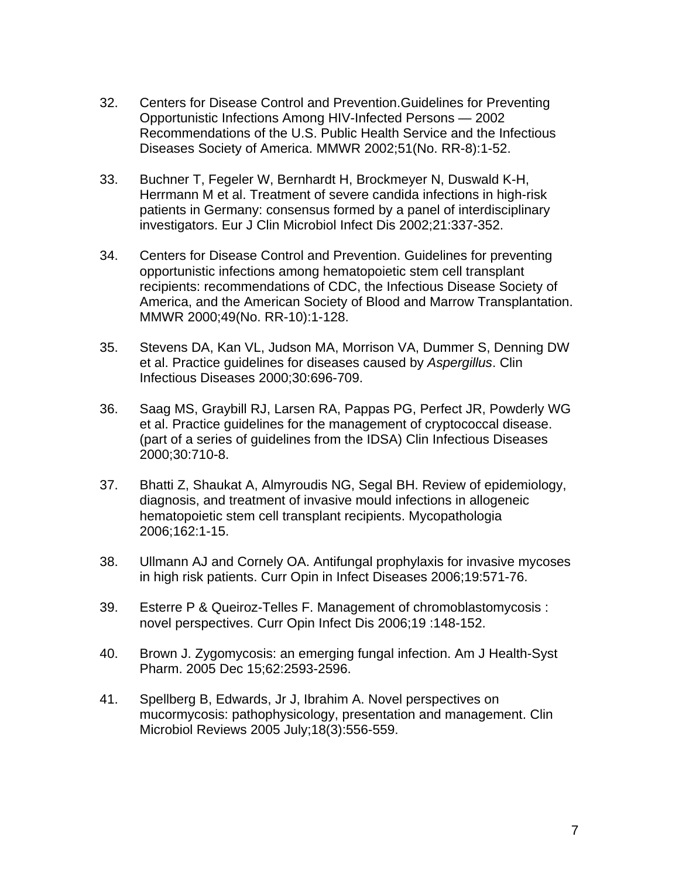- 32. Centers for Disease Control and Prevention.Guidelines for Preventing Opportunistic Infections Among HIV-Infected Persons — 2002 Recommendations of the U.S. Public Health Service and the Infectious Diseases Society of America. MMWR 2002;51(No. RR-8):1-52.
- 33. Buchner T, Fegeler W, Bernhardt H, Brockmeyer N, Duswald K-H, Herrmann M et al. Treatment of severe candida infections in high-risk patients in Germany: consensus formed by a panel of interdisciplinary investigators. Eur J Clin Microbiol Infect Dis 2002;21:337-352.
- 34. Centers for Disease Control and Prevention. Guidelines for preventing opportunistic infections among hematopoietic stem cell transplant recipients: recommendations of CDC, the Infectious Disease Society of America, and the American Society of Blood and Marrow Transplantation. MMWR 2000;49(No. RR-10):1-128.
- 35. Stevens DA, Kan VL, Judson MA, Morrison VA, Dummer S, Denning DW et al. Practice guidelines for diseases caused by *Aspergillus*. Clin Infectious Diseases 2000;30:696-709.
- 36. Saag MS, Graybill RJ, Larsen RA, Pappas PG, Perfect JR, Powderly WG et al. Practice guidelines for the management of cryptococcal disease. (part of a series of guidelines from the IDSA) Clin Infectious Diseases 2000;30:710-8.
- 37. Bhatti Z, Shaukat A, Almyroudis NG, Segal BH. Review of epidemiology, diagnosis, and treatment of invasive mould infections in allogeneic hematopoietic stem cell transplant recipients. Mycopathologia 2006;162:1-15.
- 38. Ullmann AJ and Cornely OA. Antifungal prophylaxis for invasive mycoses in high risk patients. Curr Opin in Infect Diseases 2006;19:571-76.
- 39. Esterre P & Queiroz-Telles F. Management of chromoblastomycosis : novel perspectives. Curr Opin Infect Dis 2006;19 :148-152.
- 40. Brown J. Zygomycosis: an emerging fungal infection. Am J Health-Syst Pharm. 2005 Dec 15;62:2593-2596.
- 41. Spellberg B, Edwards, Jr J, Ibrahim A. Novel perspectives on mucormycosis: pathophysicology, presentation and management. Clin Microbiol Reviews 2005 July;18(3):556-559.